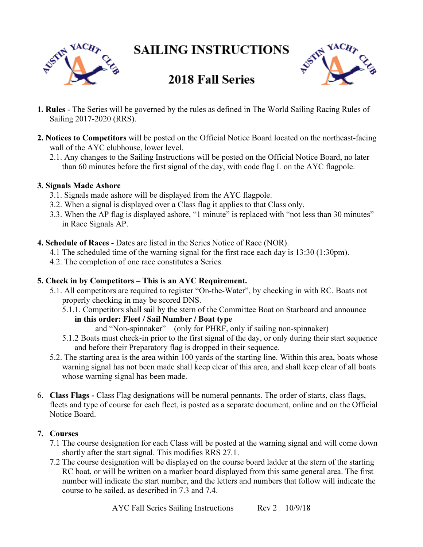**SAILING INSTRUCTIONS** 





# **2018 Fall Series**

- 1. Rules The Series will be governed by the rules as defined in The World Sailing Racing Rules of Sailing 2017-2020 (RRS).
- 2. Notices to Competitors will be posted on the Official Notice Board located on the northeast-facing wall of the AYC clubhouse, lower level.
	- 2.1. Any changes to the Sailing Instructions will be posted on the Official Notice Board, no later than 60 minutes before the first signal of the day, with code flag L on the AYC flagpole.

#### 3. Signals Made Ashore

- 3.1. Signals made ashore will be displayed from the AYC flagpole.
- 3.2. When a signal is displayed over a Class flag it applies to that Class only.
- 3.3. When the AP flag is displayed ashore, "1 minute" is replaced with "not less than 30 minutes" in Race Signals AP.
- 4. Schedule of Races Dates are listed in the Series Notice of Race (NOR).
	- 4.1 The scheduled time of the warning signal for the first race each day is 13:30 (1:30pm).
	- 4.2. The completion of one race constitutes a Series.

# 5. Check in by Competitors – This is an AYC Requirement.

- 5.1. All competitors are required to register "On-the-Water", by checking in with RC. Boats not properly checking in may be scored DNS.
	- 5.1.1. Competitors shall sail by the stern of the Committee Boat on Starboard and announce in this order: Fleet / Sail Number / Boat type
		- and "Non-spinnaker" (only for PHRF, only if sailing non-spinnaker)
	- 5.1.2 Boats must check-in prior to the first signal of the day, or only during their start sequence and before their Preparatory flag is dropped in their sequence.
- 5.2. The starting area is the area within 100 yards of the starting line. Within this area, boats whose warning signal has not been made shall keep clear of this area, and shall keep clear of all boats whose warning signal has been made.
- 6. Class Flags Class Flag designations will be numeral pennants. The order of starts, class flags, fleets and type of course for each fleet, is posted as a separate document, online and on the Official Notice Board.

# 7. Courses

- 7.1 The course designation for each Class will be posted at the warning signal and will come down shortly after the start signal. This modifies RRS 27.1.
- 7.2 The course designation will be displayed on the course board ladder at the stern of the starting RC boat, or will be written on a marker board displayed from this same general area. The first number will indicate the start number, and the letters and numbers that follow will indicate the course to be sailed, as described in 7.3 and 7.4.

AYC Fall Series Sailing Instructions Rev 2 10/9/18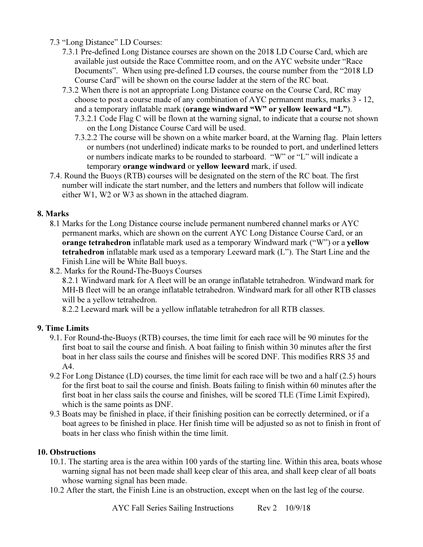7.3 "Long Distance" LD Courses:

- 7.3.1 Pre-defined Long Distance courses are shown on the 2018 LD Course Card, which are available just outside the Race Committee room, and on the AYC website under "Race Documents". When using pre-defined LD courses, the course number from the "2018 LD Course Card" will be shown on the course ladder at the stern of the RC boat.
- 7.3.2 When there is not an appropriate Long Distance course on the Course Card, RC may choose to post a course made of any combination of AYC permanent marks, marks 3 - 12, and a temporary inflatable mark (orange windward "W" or yellow leeward "L").
	- 7.3.2.1 Code Flag C will be flown at the warning signal, to indicate that a course not shown on the Long Distance Course Card will be used.
	- 7.3.2.2 The course will be shown on a white marker board, at the Warning flag. Plain letters or numbers (not underlined) indicate marks to be rounded to port, and underlined letters or numbers indicate marks to be rounded to starboard. "W" or "L" will indicate a temporary orange windward or yellow leeward mark, if used.
- 7.4. Round the Buoys (RTB) courses will be designated on the stern of the RC boat. The first number will indicate the start number, and the letters and numbers that follow will indicate either W1, W2 or W3 as shown in the attached diagram.

# 8. Marks

- 8.1 Marks for the Long Distance course include permanent numbered channel marks or AYC permanent marks, which are shown on the current AYC Long Distance Course Card, or an orange tetrahedron inflatable mark used as a temporary Windward mark ("W") or a yellow tetrahedron inflatable mark used as a temporary Leeward mark (L"). The Start Line and the Finish Line will be White Ball buoys.
- 8.2. Marks for the Round-The-Buoys Courses

 8.2.1 Windward mark for A fleet will be an orange inflatable tetrahedron. Windward mark for MH-B fleet will be an orange inflatable tetrahedron. Windward mark for all other RTB classes will be a yellow tetrahedron.

8.2.2 Leeward mark will be a yellow inflatable tetrahedron for all RTB classes.

# 9. Time Limits

- 9.1. For Round-the-Buoys (RTB) courses, the time limit for each race will be 90 minutes for the first boat to sail the course and finish. A boat failing to finish within 30 minutes after the first boat in her class sails the course and finishes will be scored DNF. This modifies RRS 35 and  $A4$
- 9.2 For Long Distance (LD) courses, the time limit for each race will be two and a half (2.5) hours for the first boat to sail the course and finish. Boats failing to finish within 60 minutes after the first boat in her class sails the course and finishes, will be scored TLE (Time Limit Expired), which is the same points as DNF.
- 9.3 Boats may be finished in place, if their finishing position can be correctly determined, or if a boat agrees to be finished in place. Her finish time will be adjusted so as not to finish in front of boats in her class who finish within the time limit.

# 10. Obstructions

- 10.1. The starting area is the area within 100 yards of the starting line. Within this area, boats whose warning signal has not been made shall keep clear of this area, and shall keep clear of all boats whose warning signal has been made.
- 10.2 After the start, the Finish Line is an obstruction, except when on the last leg of the course.

AYC Fall Series Sailing Instructions Rev 2 10/9/18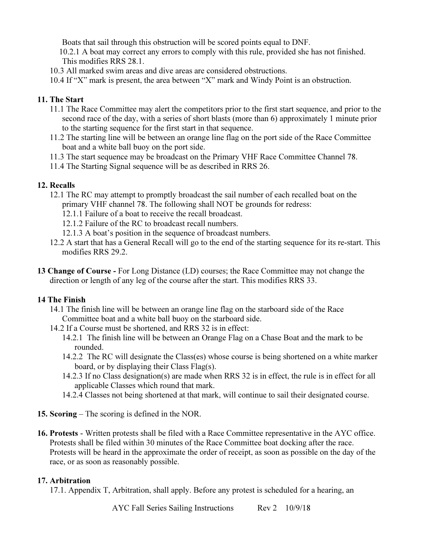Boats that sail through this obstruction will be scored points equal to DNF.

 10.2.1 A boat may correct any errors to comply with this rule, provided she has not finished. This modifies RRS 28.1.

- 10.3 All marked swim areas and dive areas are considered obstructions.
- 10.4 If "X" mark is present, the area between "X" mark and Windy Point is an obstruction.

#### 11. The Start

- 11.1 The Race Committee may alert the competitors prior to the first start sequence, and prior to the second race of the day, with a series of short blasts (more than 6) approximately 1 minute prior to the starting sequence for the first start in that sequence.
- 11.2 The starting line will be between an orange line flag on the port side of the Race Committee boat and a white ball buoy on the port side.
- 11.3 The start sequence may be broadcast on the Primary VHF Race Committee Channel 78.
- 11.4 The Starting Signal sequence will be as described in RRS 26.

# 12. Recalls

- 12.1 The RC may attempt to promptly broadcast the sail number of each recalled boat on the primary VHF channel 78. The following shall NOT be grounds for redress:
	- 12.1.1 Failure of a boat to receive the recall broadcast.
	- 12.1.2 Failure of the RC to broadcast recall numbers.
	- 12.1.3 A boat's position in the sequence of broadcast numbers.
- 12.2 A start that has a General Recall will go to the end of the starting sequence for its re-start. This modifies RRS 29.2.
- 13 Change of Course For Long Distance (LD) courses; the Race Committee may not change the direction or length of any leg of the course after the start. This modifies RRS 33.

# 14 The Finish

- 14.1 The finish line will be between an orange line flag on the starboard side of the Race Committee boat and a white ball buoy on the starboard side.
- 14.2 If a Course must be shortened, and RRS 32 is in effect:
	- 14.2.1 The finish line will be between an Orange Flag on a Chase Boat and the mark to be rounded.
	- 14.2.2 The RC will designate the Class(es) whose course is being shortened on a white marker board, or by displaying their Class Flag(s).
	- 14.2.3 If no Class designation(s) are made when RRS 32 is in effect, the rule is in effect for all applicable Classes which round that mark.
	- 14.2.4 Classes not being shortened at that mark, will continue to sail their designated course.
- 15. Scoring The scoring is defined in the NOR.
- 16. Protests Written protests shall be filed with a Race Committee representative in the AYC office. Protests shall be filed within 30 minutes of the Race Committee boat docking after the race. Protests will be heard in the approximate the order of receipt, as soon as possible on the day of the race, or as soon as reasonably possible.

# 17. Arbitration

17.1. Appendix T, Arbitration, shall apply. Before any protest is scheduled for a hearing, an

AYC Fall Series Sailing Instructions Rev 2 10/9/18